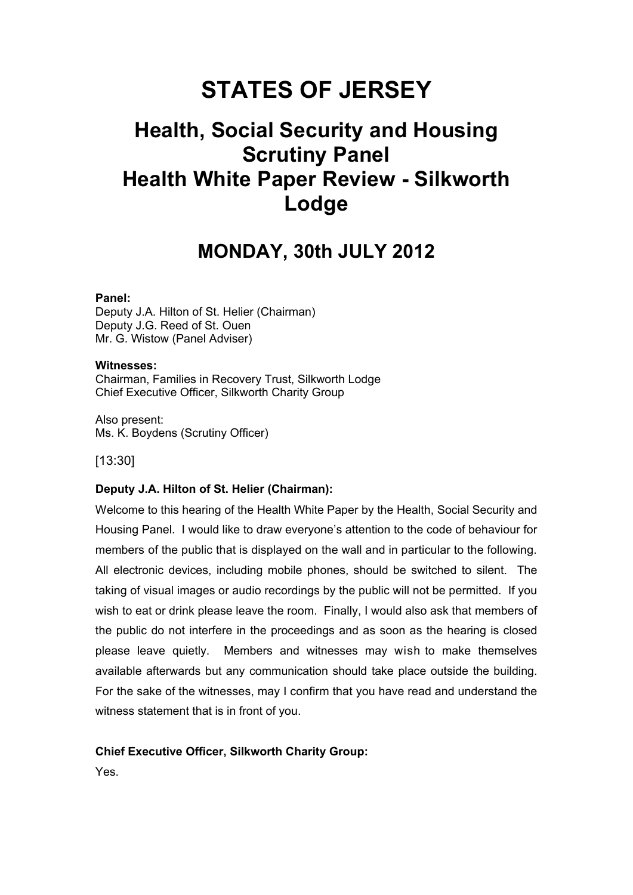# **STATES OF JERSEY**

# **Health, Social Security and Housing Scrutiny Panel Health White Paper Review - Silkworth Lodge**

# **MONDAY, 30th JULY 2012**

#### **Panel:**

Deputy J.A. Hilton of St. Helier (Chairman) Deputy J.G. Reed of St. Ouen Mr. G. Wistow (Panel Adviser)

#### **Witnesses:**

Chairman, Families in Recovery Trust, Silkworth Lodge Chief Executive Officer, Silkworth Charity Group

Also present: Ms. K. Boydens (Scrutiny Officer)

[13:30]

#### **Deputy J.A. Hilton of St. Helier (Chairman):**

Welcome to this hearing of the Health White Paper by the Health, Social Security and Housing Panel. I would like to draw everyone's attention to the code of behaviour for members of the public that is displayed on the wall and in particular to the following. All electronic devices, including mobile phones, should be switched to silent. The taking of visual images or audio recordings by the public will not be permitted. If you wish to eat or drink please leave the room. Finally, I would also ask that members of the public do not interfere in the proceedings and as soon as the hearing is closed please leave quietly. Members and witnesses may wish to make themselves available afterwards but any communication should take place outside the building. For the sake of the witnesses, may I confirm that you have read and understand the witness statement that is in front of you.

#### **Chief Executive Officer, Silkworth Charity Group:**

Yes.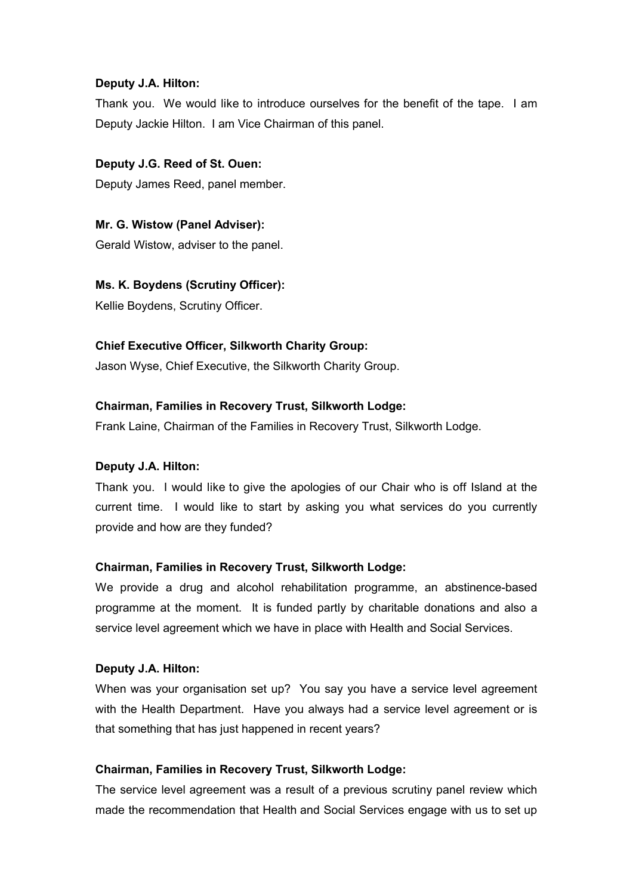# **Deputy J.A. Hilton:**

Thank you. We would like to introduce ourselves for the benefit of the tape. I am Deputy Jackie Hilton. I am Vice Chairman of this panel.

# **Deputy J.G. Reed of St. Ouen:**

Deputy James Reed, panel member.

# **Mr. G. Wistow (Panel Adviser):**

Gerald Wistow, adviser to the panel.

# **Ms. K. Boydens (Scrutiny Officer):**

Kellie Boydens, Scrutiny Officer.

# **Chief Executive Officer, Silkworth Charity Group:**

Jason Wyse, Chief Executive, the Silkworth Charity Group.

# **Chairman, Families in Recovery Trust, Silkworth Lodge:**

Frank Laine, Chairman of the Families in Recovery Trust, Silkworth Lodge.

# **Deputy J.A. Hilton:**

Thank you. I would like to give the apologies of our Chair who is off Island at the current time. I would like to start by asking you what services do you currently provide and how are they funded?

# **Chairman, Families in Recovery Trust, Silkworth Lodge:**

We provide a drug and alcohol rehabilitation programme, an abstinence-based programme at the moment. It is funded partly by charitable donations and also a service level agreement which we have in place with Health and Social Services.

#### **Deputy J.A. Hilton:**

When was your organisation set up? You say you have a service level agreement with the Health Department. Have you always had a service level agreement or is that something that has just happened in recent years?

#### **Chairman, Families in Recovery Trust, Silkworth Lodge:**

The service level agreement was a result of a previous scrutiny panel review which made the recommendation that Health and Social Services engage with us to set up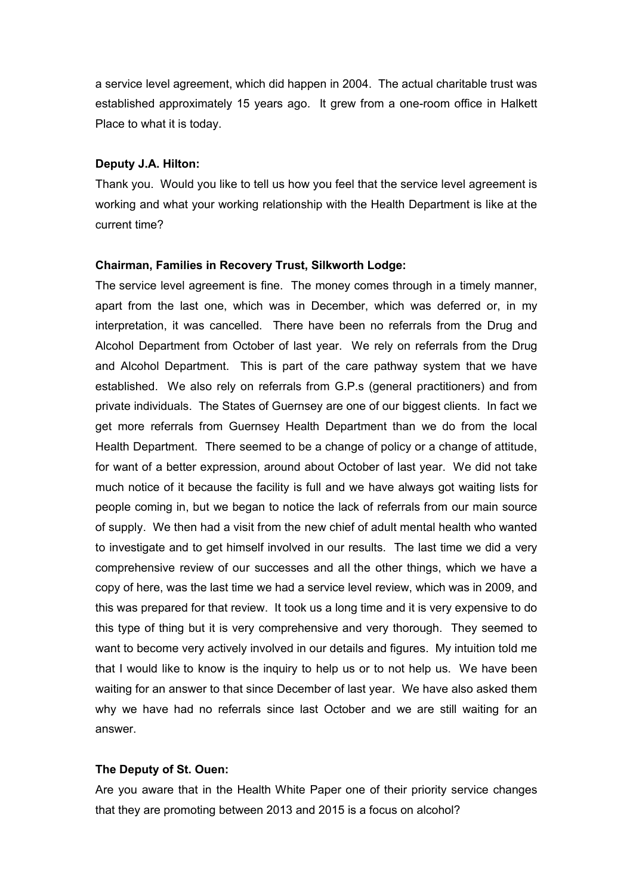a service level agreement, which did happen in 2004. The actual charitable trust was established approximately 15 years ago. It grew from a one-room office in Halkett Place to what it is today.

#### **Deputy J.A. Hilton:**

Thank you. Would you like to tell us how you feel that the service level agreement is working and what your working relationship with the Health Department is like at the current time?

#### **Chairman, Families in Recovery Trust, Silkworth Lodge:**

The service level agreement is fine. The money comes through in a timely manner, apart from the last one, which was in December, which was deferred or, in my interpretation, it was cancelled. There have been no referrals from the Drug and Alcohol Department from October of last year. We rely on referrals from the Drug and Alcohol Department. This is part of the care pathway system that we have established. We also rely on referrals from G.P.s (general practitioners) and from private individuals. The States of Guernsey are one of our biggest clients. In fact we get more referrals from Guernsey Health Department than we do from the local Health Department. There seemed to be a change of policy or a change of attitude, for want of a better expression, around about October of last year. We did not take much notice of it because the facility is full and we have always got waiting lists for people coming in, but we began to notice the lack of referrals from our main source of supply. We then had a visit from the new chief of adult mental health who wanted to investigate and to get himself involved in our results. The last time we did a very comprehensive review of our successes and all the other things, which we have a copy of here, was the last time we had a service level review, which was in 2009, and this was prepared for that review. It took us a long time and it is very expensive to do this type of thing but it is very comprehensive and very thorough. They seemed to want to become very actively involved in our details and figures. My intuition told me that I would like to know is the inquiry to help us or to not help us. We have been waiting for an answer to that since December of last year. We have also asked them why we have had no referrals since last October and we are still waiting for an answer.

#### **The Deputy of St. Ouen:**

Are you aware that in the Health White Paper one of their priority service changes that they are promoting between 2013 and 2015 is a focus on alcohol?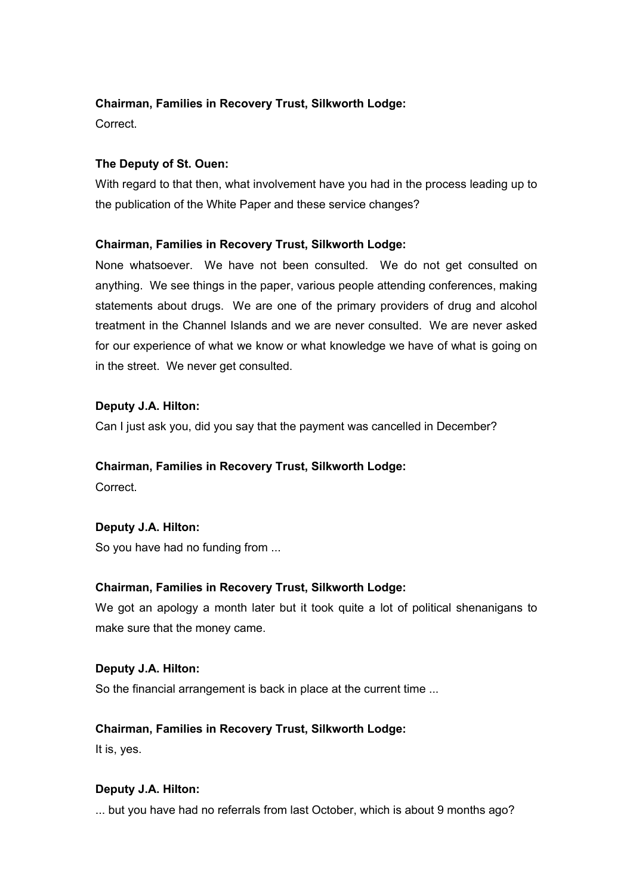Correct.

# **The Deputy of St. Ouen:**

With regard to that then, what involvement have you had in the process leading up to the publication of the White Paper and these service changes?

# **Chairman, Families in Recovery Trust, Silkworth Lodge:**

None whatsoever. We have not been consulted. We do not get consulted on anything. We see things in the paper, various people attending conferences, making statements about drugs. We are one of the primary providers of drug and alcohol treatment in the Channel Islands and we are never consulted. We are never asked for our experience of what we know or what knowledge we have of what is going on in the street. We never get consulted.

# **Deputy J.A. Hilton:**

Can I just ask you, did you say that the payment was cancelled in December?

# **Chairman, Families in Recovery Trust, Silkworth Lodge:**

**Correct** 

# **Deputy J.A. Hilton:**

So you have had no funding from ...

# **Chairman, Families in Recovery Trust, Silkworth Lodge:**

We got an apology a month later but it took quite a lot of political shenanigans to make sure that the money came.

# **Deputy J.A. Hilton:**

So the financial arrangement is back in place at the current time ...

# **Chairman, Families in Recovery Trust, Silkworth Lodge:**

It is, yes.

# **Deputy J.A. Hilton:**

... but you have had no referrals from last October, which is about 9 months ago?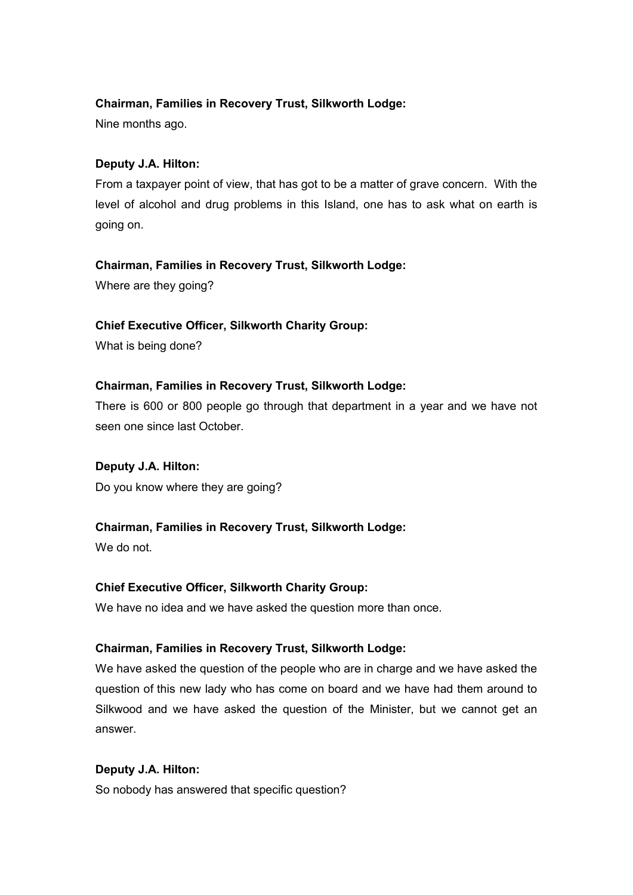Nine months ago.

# **Deputy J.A. Hilton:**

From a taxpayer point of view, that has got to be a matter of grave concern. With the level of alcohol and drug problems in this Island, one has to ask what on earth is going on.

# **Chairman, Families in Recovery Trust, Silkworth Lodge:**

Where are they going?

# **Chief Executive Officer, Silkworth Charity Group:**

What is being done?

# **Chairman, Families in Recovery Trust, Silkworth Lodge:**

There is 600 or 800 people go through that department in a year and we have not seen one since last October.

**Deputy J.A. Hilton:** Do you know where they are going?

# **Chairman, Families in Recovery Trust, Silkworth Lodge:**

We do not.

# **Chief Executive Officer, Silkworth Charity Group:**

We have no idea and we have asked the question more than once.

# **Chairman, Families in Recovery Trust, Silkworth Lodge:**

We have asked the question of the people who are in charge and we have asked the question of this new lady who has come on board and we have had them around to Silkwood and we have asked the question of the Minister, but we cannot get an answer.

# **Deputy J.A. Hilton:**

So nobody has answered that specific question?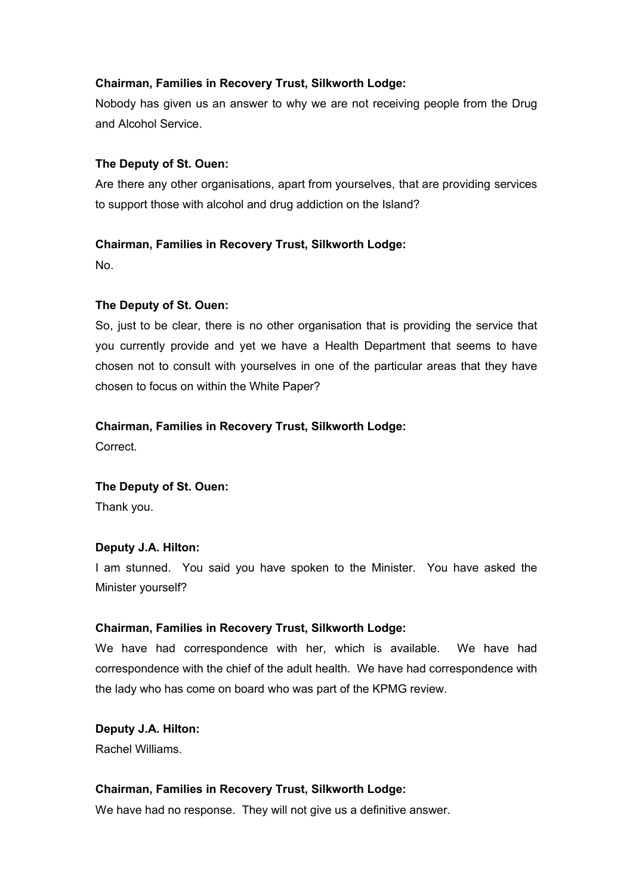Nobody has given us an answer to why we are not receiving people from the Drug and Alcohol Service.

#### **The Deputy of St. Ouen:**

Are there any other organisations, apart from yourselves, that are providing services to support those with alcohol and drug addiction on the Island?

## **Chairman, Families in Recovery Trust, Silkworth Lodge:**

No.

## **The Deputy of St. Ouen:**

So, just to be clear, there is no other organisation that is providing the service that you currently provide and yet we have a Health Department that seems to have chosen not to consult with yourselves in one of the particular areas that they have chosen to focus on within the White Paper?

## **Chairman, Families in Recovery Trust, Silkworth Lodge:**

Correct.

#### **The Deputy of St. Ouen:**

Thank you.

#### **Deputy J.A. Hilton:**

I am stunned. You said you have spoken to the Minister. You have asked the Minister yourself?

#### **Chairman, Families in Recovery Trust, Silkworth Lodge:**

We have had correspondence with her, which is available. We have had correspondence with the chief of the adult health. We have had correspondence with the lady who has come on board who was part of the KPMG review.

**Deputy J.A. Hilton:** Rachel Williams.

#### **Chairman, Families in Recovery Trust, Silkworth Lodge:**

We have had no response. They will not give us a definitive answer.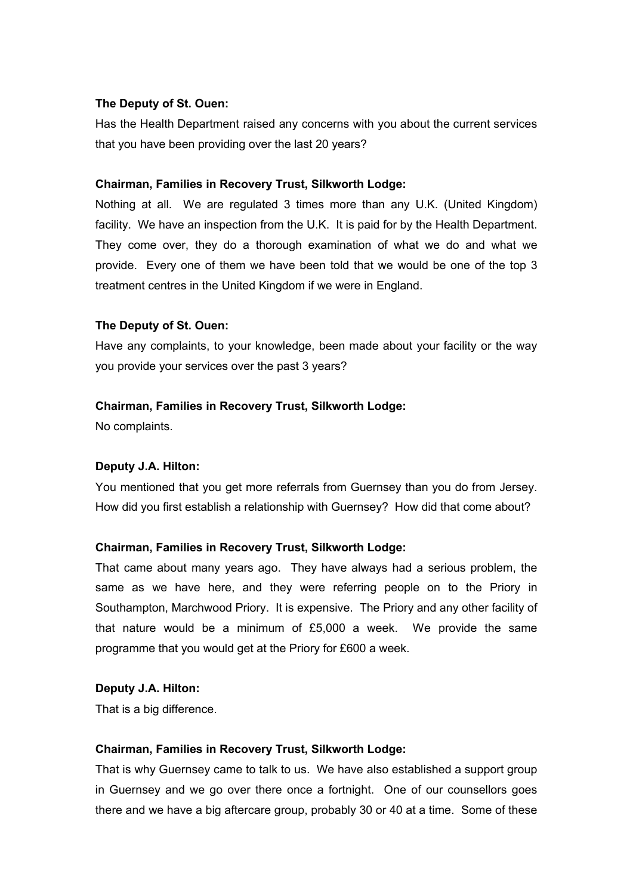# **The Deputy of St. Ouen:**

Has the Health Department raised any concerns with you about the current services that you have been providing over the last 20 years?

## **Chairman, Families in Recovery Trust, Silkworth Lodge:**

Nothing at all. We are regulated 3 times more than any U.K. (United Kingdom) facility. We have an inspection from the U.K. It is paid for by the Health Department. They come over, they do a thorough examination of what we do and what we provide. Every one of them we have been told that we would be one of the top 3 treatment centres in the United Kingdom if we were in England.

## **The Deputy of St. Ouen:**

Have any complaints, to your knowledge, been made about your facility or the way you provide your services over the past 3 years?

# **Chairman, Families in Recovery Trust, Silkworth Lodge:**

No complaints.

# **Deputy J.A. Hilton:**

You mentioned that you get more referrals from Guernsey than you do from Jersey. How did you first establish a relationship with Guernsey? How did that come about?

# **Chairman, Families in Recovery Trust, Silkworth Lodge:**

That came about many years ago. They have always had a serious problem, the same as we have here, and they were referring people on to the Priory in Southampton, Marchwood Priory. It is expensive. The Priory and any other facility of that nature would be a minimum of £5,000 a week. We provide the same programme that you would get at the Priory for £600 a week.

#### **Deputy J.A. Hilton:**

That is a big difference.

#### **Chairman, Families in Recovery Trust, Silkworth Lodge:**

That is why Guernsey came to talk to us. We have also established a support group in Guernsey and we go over there once a fortnight. One of our counsellors goes there and we have a big aftercare group, probably 30 or 40 at a time. Some of these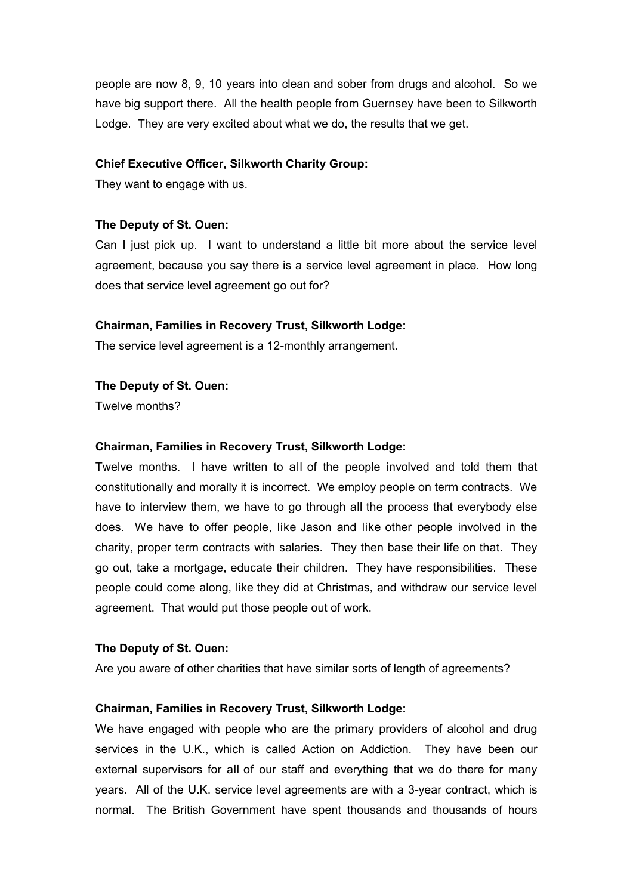people are now 8, 9, 10 years into clean and sober from drugs and alcohol. So we have big support there. All the health people from Guernsey have been to Silkworth Lodge. They are very excited about what we do, the results that we get.

#### **Chief Executive Officer, Silkworth Charity Group:**

They want to engage with us.

#### **The Deputy of St. Ouen:**

Can I just pick up. I want to understand a little bit more about the service level agreement, because you say there is a service level agreement in place. How long does that service level agreement go out for?

#### **Chairman, Families in Recovery Trust, Silkworth Lodge:**

The service level agreement is a 12-monthly arrangement.

#### **The Deputy of St. Ouen:**

Twelve months?

#### **Chairman, Families in Recovery Trust, Silkworth Lodge:**

Twelve months. I have written to all of the people involved and told them that constitutionally and morally it is incorrect. We employ people on term contracts. We have to interview them, we have to go through all the process that everybody else does. We have to offer people, like Jason and like other people involved in the charity, proper term contracts with salaries. They then base their life on that. They go out, take a mortgage, educate their children. They have responsibilities. These people could come along, like they did at Christmas, and withdraw our service level agreement. That would put those people out of work.

#### **The Deputy of St. Ouen:**

Are you aware of other charities that have similar sorts of length of agreements?

#### **Chairman, Families in Recovery Trust, Silkworth Lodge:**

We have engaged with people who are the primary providers of alcohol and drug services in the U.K., which is called Action on Addiction. They have been our external supervisors for all of our staff and everything that we do there for many years. All of the U.K. service level agreements are with a 3-year contract, which is normal. The British Government have spent thousands and thousands of hours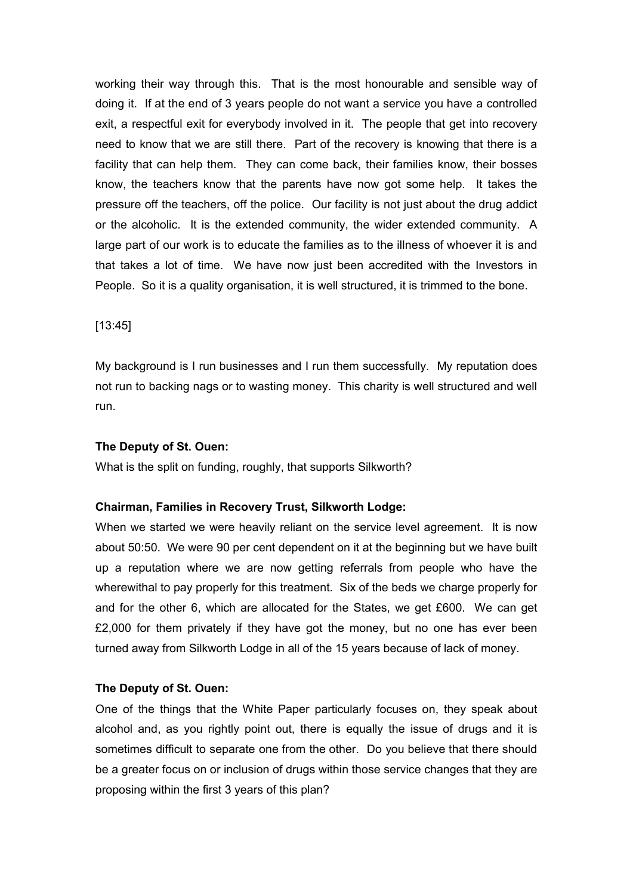working their way through this. That is the most honourable and sensible way of doing it. If at the end of 3 years people do not want a service you have a controlled exit, a respectful exit for everybody involved in it. The people that get into recovery need to know that we are still there. Part of the recovery is knowing that there is a facility that can help them. They can come back, their families know, their bosses know, the teachers know that the parents have now got some help. It takes the pressure off the teachers, off the police. Our facility is not just about the drug addict or the alcoholic. It is the extended community, the wider extended community. A large part of our work is to educate the families as to the illness of whoever it is and that takes a lot of time. We have now just been accredited with the Investors in People. So it is a quality organisation, it is well structured, it is trimmed to the bone.

#### [13:45]

My background is I run businesses and I run them successfully. My reputation does not run to backing nags or to wasting money. This charity is well structured and well run.

#### **The Deputy of St. Ouen:**

What is the split on funding, roughly, that supports Silkworth?

#### **Chairman, Families in Recovery Trust, Silkworth Lodge:**

When we started we were heavily reliant on the service level agreement. It is now about 50:50. We were 90 per cent dependent on it at the beginning but we have built up a reputation where we are now getting referrals from people who have the wherewithal to pay properly for this treatment. Six of the beds we charge properly for and for the other 6, which are allocated for the States, we get £600. We can get  $£2,000$  for them privately if they have got the money, but no one has ever been turned away from Silkworth Lodge in all of the 15 years because of lack of money.

#### **The Deputy of St. Ouen:**

One of the things that the White Paper particularly focuses on, they speak about alcohol and, as you rightly point out, there is equally the issue of drugs and it is sometimes difficult to separate one from the other. Do you believe that there should be a greater focus on or inclusion of drugs within those service changes that they are proposing within the first 3 years of this plan?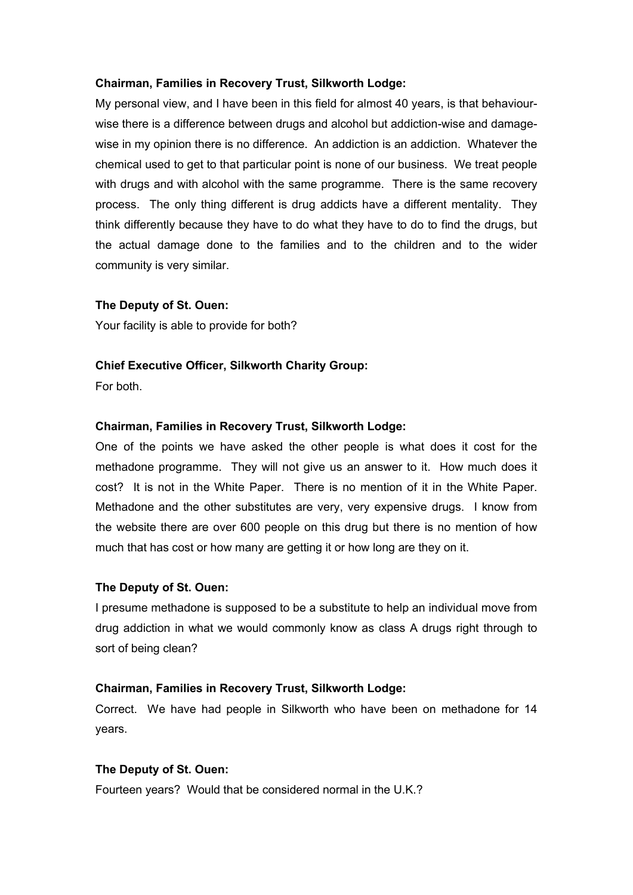My personal view, and I have been in this field for almost 40 years, is that behaviourwise there is a difference between drugs and alcohol but addiction-wise and damagewise in my opinion there is no difference. An addiction is an addiction. Whatever the chemical used to get to that particular point is none of our business. We treat people with drugs and with alcohol with the same programme. There is the same recovery process. The only thing different is drug addicts have a different mentality. They think differently because they have to do what they have to do to find the drugs, but the actual damage done to the families and to the children and to the wider community is very similar.

## **The Deputy of St. Ouen:**

Your facility is able to provide for both?

## **Chief Executive Officer, Silkworth Charity Group:**

For both.

## **Chairman, Families in Recovery Trust, Silkworth Lodge:**

One of the points we have asked the other people is what does it cost for the methadone programme. They will not give us an answer to it. How much does it cost? It is not in the White Paper. There is no mention of it in the White Paper. Methadone and the other substitutes are very, very expensive drugs. I know from the website there are over 600 people on this drug but there is no mention of how much that has cost or how many are getting it or how long are they on it.

#### **The Deputy of St. Ouen:**

I presume methadone is supposed to be a substitute to help an individual move from drug addiction in what we would commonly know as class A drugs right through to sort of being clean?

#### **Chairman, Families in Recovery Trust, Silkworth Lodge:**

Correct. We have had people in Silkworth who have been on methadone for 14 years.

#### **The Deputy of St. Ouen:**

Fourteen years? Would that be considered normal in the U.K.?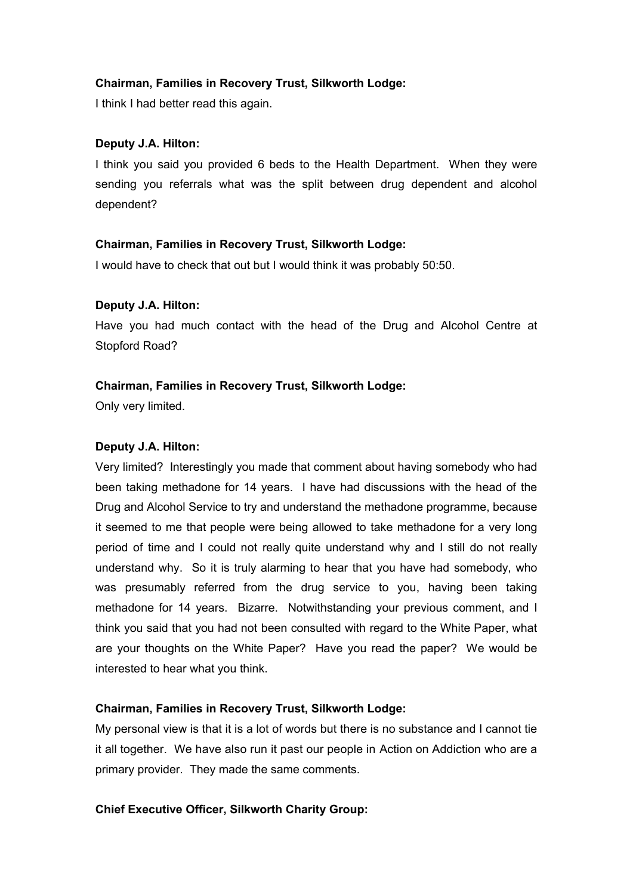I think I had better read this again.

# **Deputy J.A. Hilton:**

I think you said you provided 6 beds to the Health Department. When they were sending you referrals what was the split between drug dependent and alcohol dependent?

# **Chairman, Families in Recovery Trust, Silkworth Lodge:**

I would have to check that out but I would think it was probably 50:50.

# **Deputy J.A. Hilton:**

Have you had much contact with the head of the Drug and Alcohol Centre at Stopford Road?

# **Chairman, Families in Recovery Trust, Silkworth Lodge:**

Only very limited.

# **Deputy J.A. Hilton:**

Very limited? Interestingly you made that comment about having somebody who had been taking methadone for 14 years. I have had discussions with the head of the Drug and Alcohol Service to try and understand the methadone programme, because it seemed to me that people were being allowed to take methadone for a very long period of time and I could not really quite understand why and I still do not really understand why. So it is truly alarming to hear that you have had somebody, who was presumably referred from the drug service to you, having been taking methadone for 14 years. Bizarre. Notwithstanding your previous comment, and I think you said that you had not been consulted with regard to the White Paper, what are your thoughts on the White Paper? Have you read the paper? We would be interested to hear what you think.

# **Chairman, Families in Recovery Trust, Silkworth Lodge:**

My personal view is that it is a lot of words but there is no substance and I cannot tie it all together. We have also run it past our people in Action on Addiction who are a primary provider. They made the same comments.

# **Chief Executive Officer, Silkworth Charity Group:**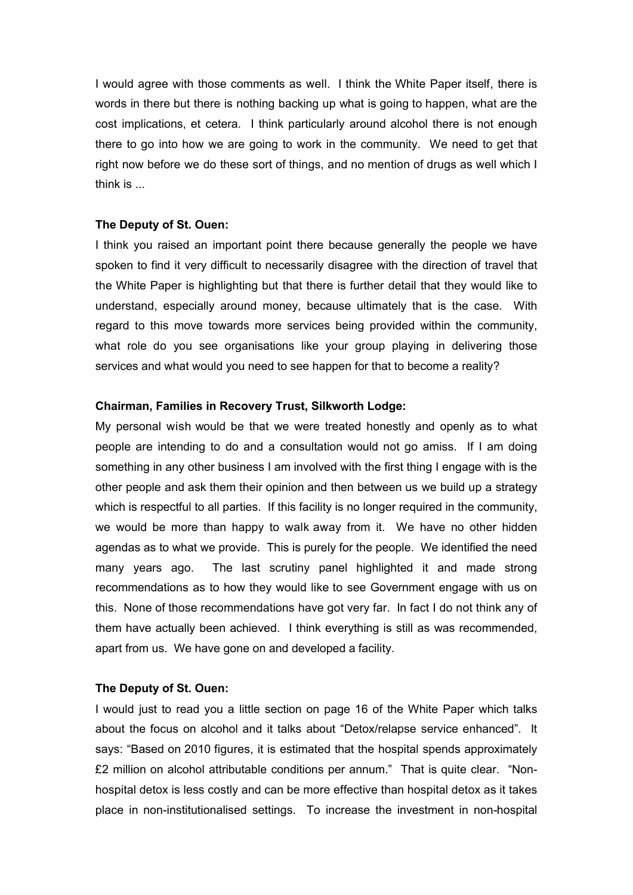I would agree with those comments as well. I think the White Paper itself, there is words in there but there is nothing backing up what is going to happen, what are the cost implications, et cetera. I think particularly around alcohol there is not enough there to go into how we are going to work in the community. We need to get that right now before we do these sort of things, and no mention of drugs as well which I think is ...

#### **The Deputy of St. Ouen:**

I think you raised an important point there because generally the people we have spoken to find it very difficult to necessarily disagree with the direction of travel that the White Paper is highlighting but that there is further detail that they would like to understand, especially around money, because ultimately that is the case. With regard to this move towards more services being provided within the community, what role do you see organisations like your group playing in delivering those services and what would you need to see happen for that to become a reality?

#### **Chairman, Families in Recovery Trust, Silkworth Lodge:**

My personal wish would be that we were treated honestly and openly as to what people are intending to do and a consultation would not go amiss. If I am doing something in any other business I am involved with the first thing I engage with is the other people and ask them their opinion and then between us we build up a strategy which is respectful to all parties. If this facility is no longer required in the community, we would be more than happy to walk away from it. We have no other hidden agendas as to what we provide. This is purely for the people. We identified the need many years ago. The last scrutiny panel highlighted it and made strong recommendations as to how they would like to see Government engage with us on this. None of those recommendations have got very far. In fact I do not think any of them have actually been achieved. I think everything is still as was recommended, apart from us. We have gone on and developed a facility.

#### **The Deputy of St. Ouen:**

I would just to read you a little section on page 16 of the White Paper which talks about the focus on alcohol and it talks about "Detox/relapse service enhanced". It says: "Based on 2010 figures, it is estimated that the hospital spends approximately £2 million on alcohol attributable conditions per annum." That is quite clear. "Nonhospital detox is less costly and can be more effective than hospital detox as it takes place in non-institutionalised settings. To increase the investment in non-hospital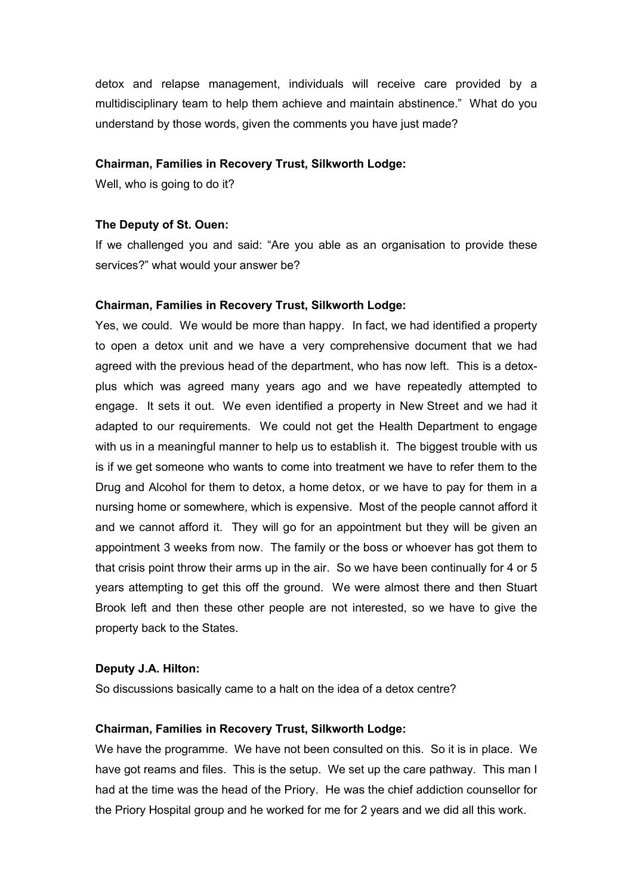detox and relapse management, individuals will receive care provided by a multidisciplinary team to help them achieve and maintain abstinence." What do you understand by those words, given the comments you have just made?

#### **Chairman, Families in Recovery Trust, Silkworth Lodge:**

Well, who is going to do it?

#### **The Deputy of St. Ouen:**

If we challenged you and said: "Are you able as an organisation to provide these services?" what would your answer be?

#### **Chairman, Families in Recovery Trust, Silkworth Lodge:**

Yes, we could. We would be more than happy. In fact, we had identified a property to open a detox unit and we have a very comprehensive document that we had agreed with the previous head of the department, who has now left. This is a detoxplus which was agreed many years ago and we have repeatedly attempted to engage. It sets it out. We even identified a property in New Street and we had it adapted to our requirements. We could not get the Health Department to engage with us in a meaningful manner to help us to establish it. The biggest trouble with us is if we get someone who wants to come into treatment we have to refer them to the Drug and Alcohol for them to detox, a home detox, or we have to pay for them in a nursing home or somewhere, which is expensive. Most of the people cannot afford it and we cannot afford it. They will go for an appointment but they will be given an appointment 3 weeks from now. The family or the boss or whoever has got them to that crisis point throw their arms up in the air. So we have been continually for 4 or 5 years attempting to get this off the ground. We were almost there and then Stuart Brook left and then these other people are not interested, so we have to give the property back to the States.

#### **Deputy J.A. Hilton:**

So discussions basically came to a halt on the idea of a detox centre?

#### **Chairman, Families in Recovery Trust, Silkworth Lodge:**

We have the programme. We have not been consulted on this. So it is in place. We have got reams and files. This is the setup. We set up the care pathway. This man I had at the time was the head of the Priory. He was the chief addiction counsellor for the Priory Hospital group and he worked for me for 2 years and we did all this work.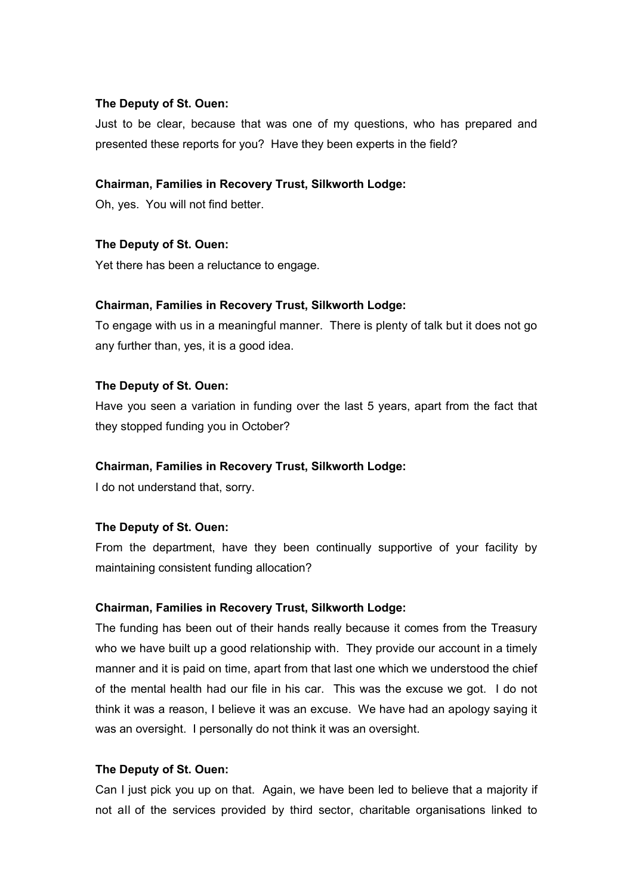#### **The Deputy of St. Ouen:**

Just to be clear, because that was one of my questions, who has prepared and presented these reports for you? Have they been experts in the field?

# **Chairman, Families in Recovery Trust, Silkworth Lodge:**

Oh, yes. You will not find better.

## **The Deputy of St. Ouen:**

Yet there has been a reluctance to engage.

## **Chairman, Families in Recovery Trust, Silkworth Lodge:**

To engage with us in a meaningful manner. There is plenty of talk but it does not go any further than, yes, it is a good idea.

## **The Deputy of St. Ouen:**

Have you seen a variation in funding over the last 5 years, apart from the fact that they stopped funding you in October?

#### **Chairman, Families in Recovery Trust, Silkworth Lodge:**

I do not understand that, sorry.

#### **The Deputy of St. Ouen:**

From the department, have they been continually supportive of your facility by maintaining consistent funding allocation?

#### **Chairman, Families in Recovery Trust, Silkworth Lodge:**

The funding has been out of their hands really because it comes from the Treasury who we have built up a good relationship with. They provide our account in a timely manner and it is paid on time, apart from that last one which we understood the chief of the mental health had our file in his car. This was the excuse we got. I do not think it was a reason, I believe it was an excuse. We have had an apology saying it was an oversight. I personally do not think it was an oversight.

#### **The Deputy of St. Ouen:**

Can I just pick you up on that. Again, we have been led to believe that a majority if not all of the services provided by third sector, charitable organisations linked to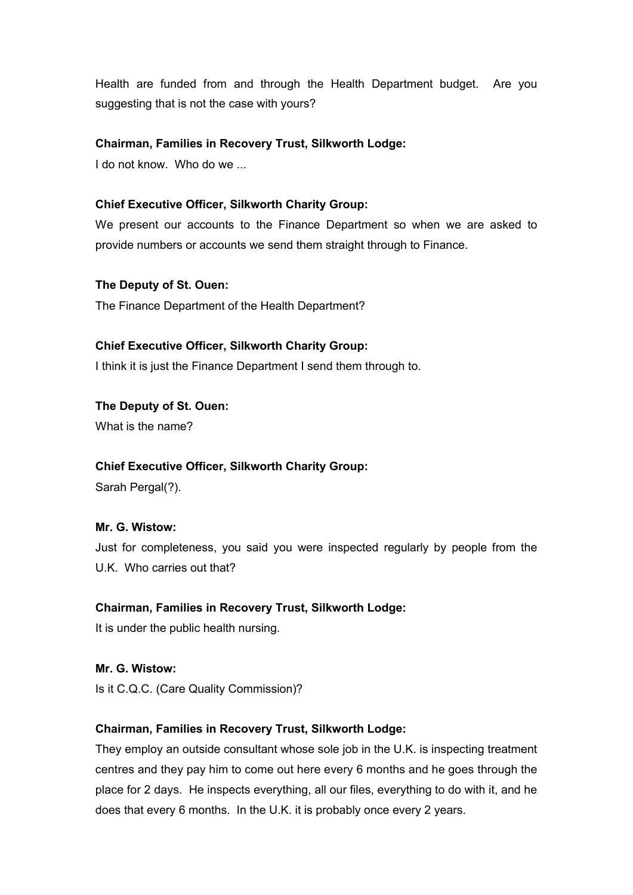Health are funded from and through the Health Department budget. Are you suggesting that is not the case with yours?

## **Chairman, Families in Recovery Trust, Silkworth Lodge:**

I do not know. Who do we ...

# **Chief Executive Officer, Silkworth Charity Group:**

We present our accounts to the Finance Department so when we are asked to provide numbers or accounts we send them straight through to Finance.

#### **The Deputy of St. Ouen:**

The Finance Department of the Health Department?

## **Chief Executive Officer, Silkworth Charity Group:**

I think it is just the Finance Department I send them through to.

**The Deputy of St. Ouen:**  What is the name?

#### **Chief Executive Officer, Silkworth Charity Group:**

Sarah Pergal(?).

# **Mr. G. Wistow:**

Just for completeness, you said you were inspected regularly by people from the U.K. Who carries out that?

# **Chairman, Families in Recovery Trust, Silkworth Lodge:**

It is under the public health nursing.

# **Mr. G. Wistow:**

Is it C.Q.C. (Care Quality Commission)?

#### **Chairman, Families in Recovery Trust, Silkworth Lodge:**

They employ an outside consultant whose sole job in the U.K. is inspecting treatment centres and they pay him to come out here every 6 months and he goes through the place for 2 days. He inspects everything, all our files, everything to do with it, and he does that every 6 months. In the U.K. it is probably once every 2 years.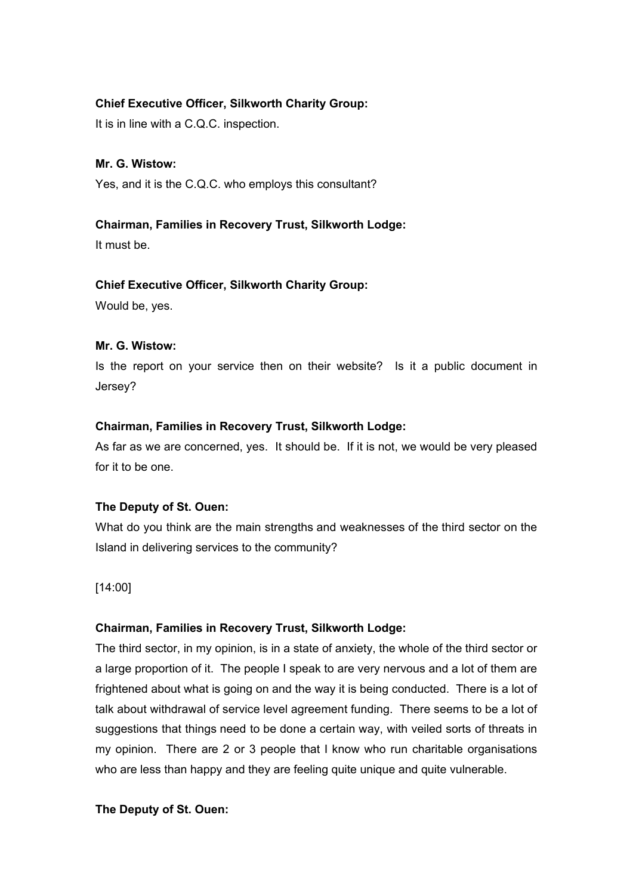# **Chief Executive Officer, Silkworth Charity Group:**

It is in line with a C.Q.C. inspection.

# **Mr. G. Wistow:**

Yes, and it is the C.Q.C. who employs this consultant?

# **Chairman, Families in Recovery Trust, Silkworth Lodge:**

It must be.

# **Chief Executive Officer, Silkworth Charity Group:**

Would be, yes.

# **Mr. G. Wistow:**

Is the report on your service then on their website? Is it a public document in Jersey?

# **Chairman, Families in Recovery Trust, Silkworth Lodge:**

As far as we are concerned, yes. It should be. If it is not, we would be very pleased for it to be one.

# **The Deputy of St. Ouen:**

What do you think are the main strengths and weaknesses of the third sector on the Island in delivering services to the community?

[14:00]

# **Chairman, Families in Recovery Trust, Silkworth Lodge:**

The third sector, in my opinion, is in a state of anxiety, the whole of the third sector or a large proportion of it. The people I speak to are very nervous and a lot of them are frightened about what is going on and the way it is being conducted. There is a lot of talk about withdrawal of service level agreement funding. There seems to be a lot of suggestions that things need to be done a certain way, with veiled sorts of threats in my opinion. There are 2 or 3 people that I know who run charitable organisations who are less than happy and they are feeling quite unique and quite vulnerable.

# **The Deputy of St. Ouen:**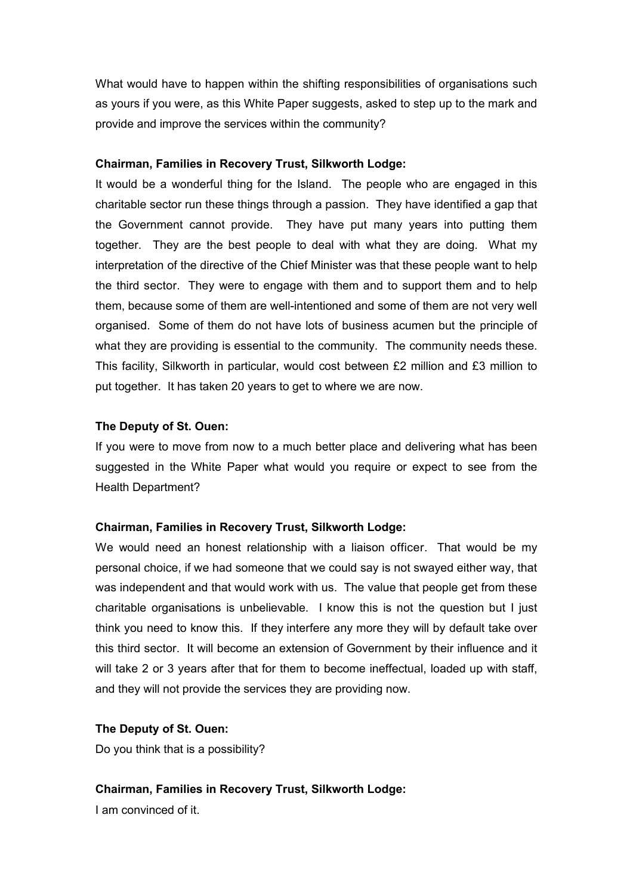What would have to happen within the shifting responsibilities of organisations such as yours if you were, as this White Paper suggests, asked to step up to the mark and provide and improve the services within the community?

#### **Chairman, Families in Recovery Trust, Silkworth Lodge:**

It would be a wonderful thing for the Island. The people who are engaged in this charitable sector run these things through a passion. They have identified a gap that the Government cannot provide. They have put many years into putting them together. They are the best people to deal with what they are doing. What my interpretation of the directive of the Chief Minister was that these people want to help the third sector. They were to engage with them and to support them and to help them, because some of them are well-intentioned and some of them are not very well organised. Some of them do not have lots of business acumen but the principle of what they are providing is essential to the community. The community needs these. This facility, Silkworth in particular, would cost between £2 million and £3 million to put together. It has taken 20 years to get to where we are now.

## **The Deputy of St. Ouen:**

If you were to move from now to a much better place and delivering what has been suggested in the White Paper what would you require or expect to see from the Health Department?

#### **Chairman, Families in Recovery Trust, Silkworth Lodge:**

We would need an honest relationship with a liaison officer. That would be my personal choice, if we had someone that we could say is not swayed either way, that was independent and that would work with us. The value that people get from these charitable organisations is unbelievable. I know this is not the question but I just think you need to know this. If they interfere any more they will by default take over this third sector. It will become an extension of Government by their influence and it will take 2 or 3 years after that for them to become ineffectual, loaded up with staff, and they will not provide the services they are providing now.

#### **The Deputy of St. Ouen:**

Do you think that is a possibility?

#### **Chairman, Families in Recovery Trust, Silkworth Lodge:**

I am convinced of it.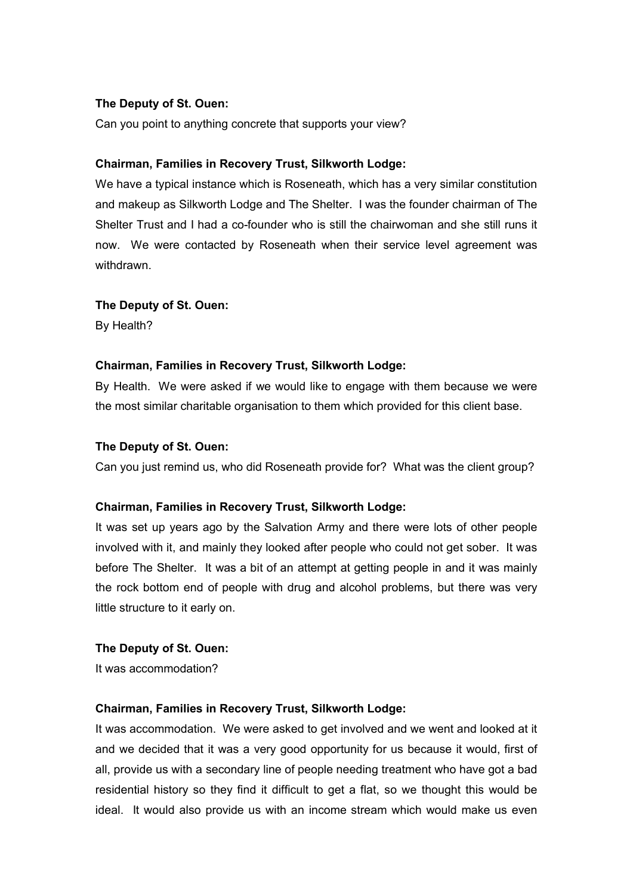# **The Deputy of St. Ouen:**

Can you point to anything concrete that supports your view?

#### **Chairman, Families in Recovery Trust, Silkworth Lodge:**

We have a typical instance which is Roseneath, which has a very similar constitution and makeup as Silkworth Lodge and The Shelter. I was the founder chairman of The Shelter Trust and I had a co-founder who is still the chairwoman and she still runs it now. We were contacted by Roseneath when their service level agreement was withdrawn.

#### **The Deputy of St. Ouen:**

By Health?

## **Chairman, Families in Recovery Trust, Silkworth Lodge:**

By Health. We were asked if we would like to engage with them because we were the most similar charitable organisation to them which provided for this client base.

#### **The Deputy of St. Ouen:**

Can you just remind us, who did Roseneath provide for? What was the client group?

#### **Chairman, Families in Recovery Trust, Silkworth Lodge:**

It was set up years ago by the Salvation Army and there were lots of other people involved with it, and mainly they looked after people who could not get sober. It was before The Shelter. It was a bit of an attempt at getting people in and it was mainly the rock bottom end of people with drug and alcohol problems, but there was very little structure to it early on.

#### **The Deputy of St. Ouen:**

It was accommodation?

#### **Chairman, Families in Recovery Trust, Silkworth Lodge:**

It was accommodation. We were asked to get involved and we went and looked at it and we decided that it was a very good opportunity for us because it would, first of all, provide us with a secondary line of people needing treatment who have got a bad residential history so they find it difficult to get a flat, so we thought this would be ideal. It would also provide us with an income stream which would make us even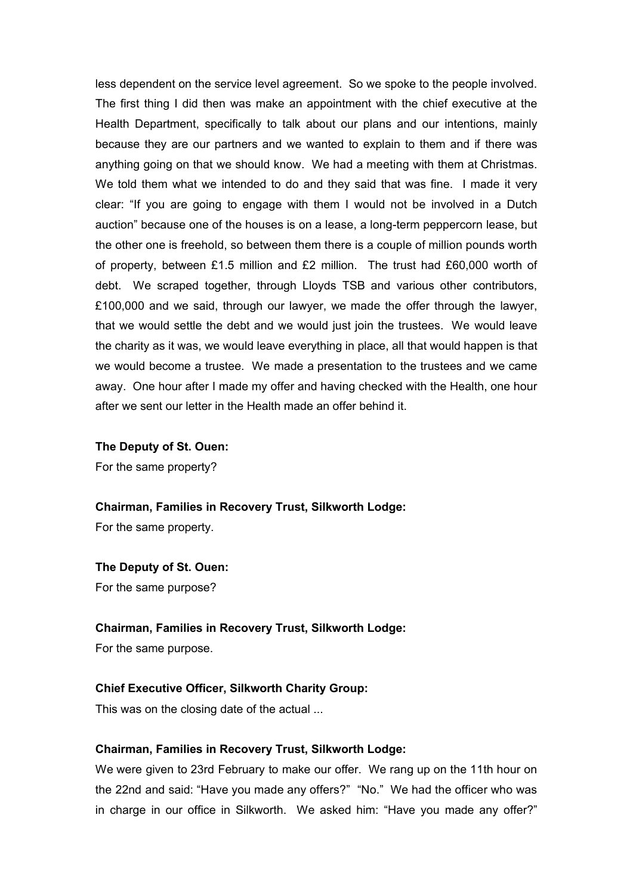less dependent on the service level agreement. So we spoke to the people involved. The first thing I did then was make an appointment with the chief executive at the Health Department, specifically to talk about our plans and our intentions, mainly because they are our partners and we wanted to explain to them and if there was anything going on that we should know. We had a meeting with them at Christmas. We told them what we intended to do and they said that was fine. I made it very clear: "If you are going to engage with them I would not be involved in a Dutch auction" because one of the houses is on a lease, a long-term peppercorn lease, but the other one is freehold, so between them there is a couple of million pounds worth of property, between £1.5 million and £2 million. The trust had £60,000 worth of debt. We scraped together, through Lloyds TSB and various other contributors, £100,000 and we said, through our lawyer, we made the offer through the lawyer, that we would settle the debt and we would just join the trustees. We would leave the charity as it was, we would leave everything in place, all that would happen is that we would become a trustee. We made a presentation to the trustees and we came away. One hour after I made my offer and having checked with the Health, one hour after we sent our letter in the Health made an offer behind it.

**The Deputy of St. Ouen:**

For the same property?

**Chairman, Families in Recovery Trust, Silkworth Lodge:**

For the same property.

**The Deputy of St. Ouen:**

For the same purpose?

# **Chairman, Families in Recovery Trust, Silkworth Lodge:**

For the same purpose.

#### **Chief Executive Officer, Silkworth Charity Group:**

This was on the closing date of the actual ...

#### **Chairman, Families in Recovery Trust, Silkworth Lodge:**

We were given to 23rd February to make our offer. We rang up on the 11th hour on the 22nd and said: "Have you made any offers?" "No." We had the officer who was in charge in our office in Silkworth. We asked him: "Have you made any offer?"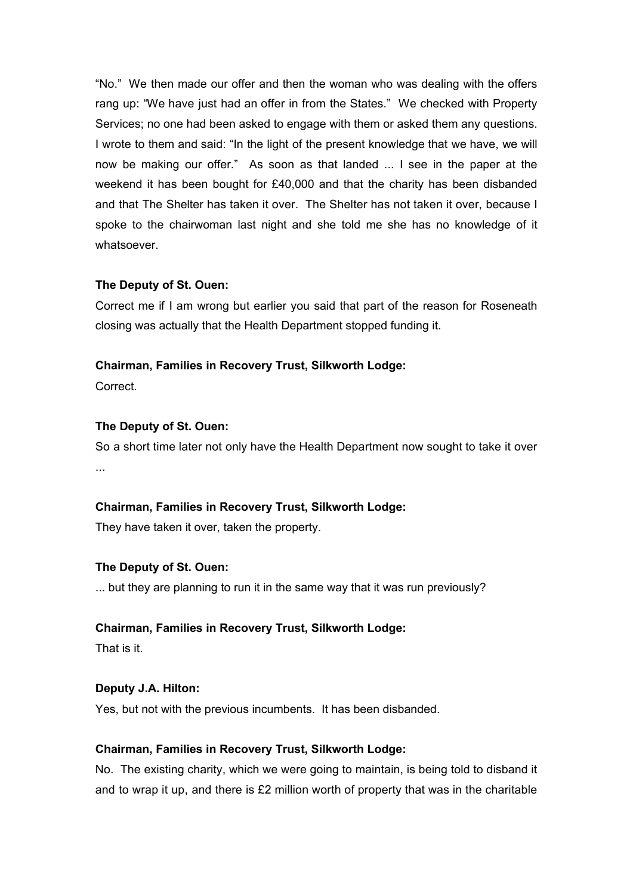"No." We then made our offer and then the woman who was dealing with the offers rang up: "We have just had an offer in from the States." We checked with Property Services; no one had been asked to engage with them or asked them any questions. I wrote to them and said: "In the light of the present knowledge that we have, we will now be making our offer." As soon as that landed ... I see in the paper at the weekend it has been bought for £40,000 and that the charity has been disbanded and that The Shelter has taken it over. The Shelter has not taken it over, because I spoke to the chairwoman last night and she told me she has no knowledge of it whatsoever.

# **The Deputy of St. Ouen:**

Correct me if I am wrong but earlier you said that part of the reason for Roseneath closing was actually that the Health Department stopped funding it.

# **Chairman, Families in Recovery Trust, Silkworth Lodge:**

**Correct** 

# **The Deputy of St. Ouen:**

So a short time later not only have the Health Department now sought to take it over ...

# **Chairman, Families in Recovery Trust, Silkworth Lodge:**

They have taken it over, taken the property.

# **The Deputy of St. Ouen:**

... but they are planning to run it in the same way that it was run previously?

# **Chairman, Families in Recovery Trust, Silkworth Lodge:**

That is it.

# **Deputy J.A. Hilton:**

Yes, but not with the previous incumbents. It has been disbanded.

# **Chairman, Families in Recovery Trust, Silkworth Lodge:**

No. The existing charity, which we were going to maintain, is being told to disband it and to wrap it up, and there is £2 million worth of property that was in the charitable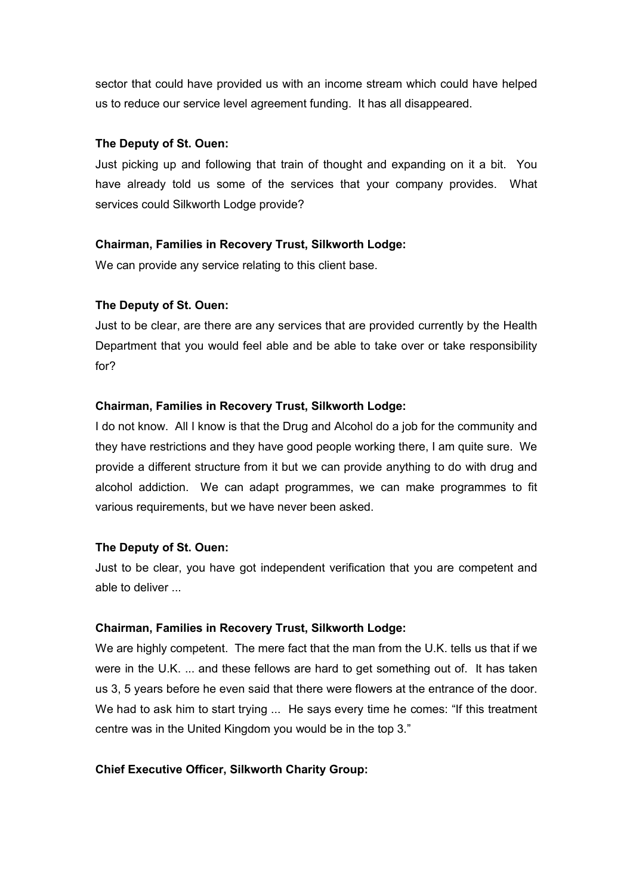sector that could have provided us with an income stream which could have helped us to reduce our service level agreement funding. It has all disappeared.

#### **The Deputy of St. Ouen:**

Just picking up and following that train of thought and expanding on it a bit. You have already told us some of the services that your company provides. What services could Silkworth Lodge provide?

## **Chairman, Families in Recovery Trust, Silkworth Lodge:**

We can provide any service relating to this client base.

## **The Deputy of St. Ouen:**

Just to be clear, are there are any services that are provided currently by the Health Department that you would feel able and be able to take over or take responsibility for?

## **Chairman, Families in Recovery Trust, Silkworth Lodge:**

I do not know. All I know is that the Drug and Alcohol do a job for the community and they have restrictions and they have good people working there, I am quite sure. We provide a different structure from it but we can provide anything to do with drug and alcohol addiction. We can adapt programmes, we can make programmes to fit various requirements, but we have never been asked.

#### **The Deputy of St. Ouen:**

Just to be clear, you have got independent verification that you are competent and able to deliver ...

#### **Chairman, Families in Recovery Trust, Silkworth Lodge:**

We are highly competent. The mere fact that the man from the U.K. tells us that if we were in the U.K. ... and these fellows are hard to get something out of. It has taken us 3, 5 years before he even said that there were flowers at the entrance of the door. We had to ask him to start trying ... He says every time he comes: "If this treatment centre was in the United Kingdom you would be in the top 3."

#### **Chief Executive Officer, Silkworth Charity Group:**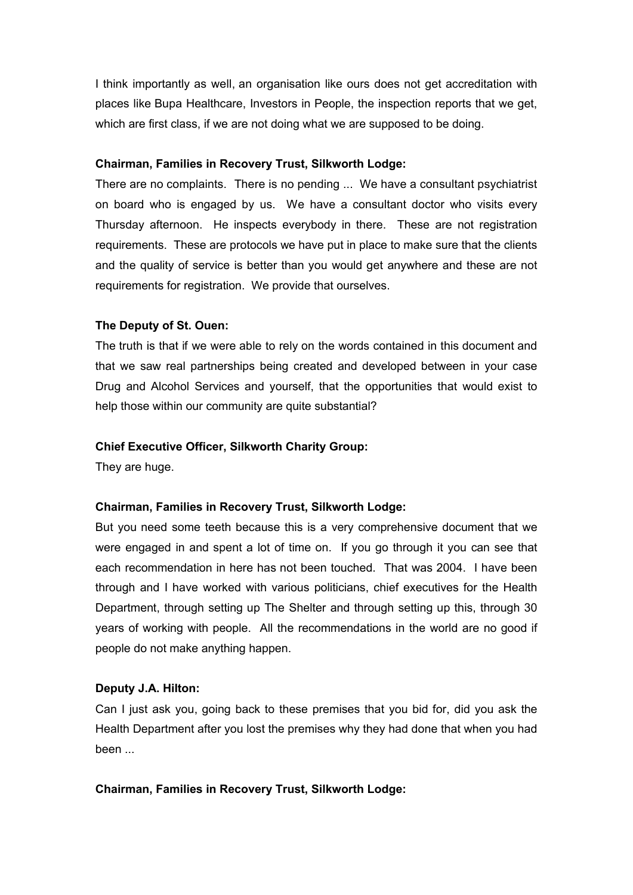I think importantly as well, an organisation like ours does not get accreditation with places like Bupa Healthcare, Investors in People, the inspection reports that we get, which are first class, if we are not doing what we are supposed to be doing.

# **Chairman, Families in Recovery Trust, Silkworth Lodge:**

There are no complaints. There is no pending ... We have a consultant psychiatrist on board who is engaged by us. We have a consultant doctor who visits every Thursday afternoon. He inspects everybody in there. These are not registration requirements. These are protocols we have put in place to make sure that the clients and the quality of service is better than you would get anywhere and these are not requirements for registration. We provide that ourselves.

# **The Deputy of St. Ouen:**

The truth is that if we were able to rely on the words contained in this document and that we saw real partnerships being created and developed between in your case Drug and Alcohol Services and yourself, that the opportunities that would exist to help those within our community are quite substantial?

# **Chief Executive Officer, Silkworth Charity Group:**

They are huge.

# **Chairman, Families in Recovery Trust, Silkworth Lodge:**

But you need some teeth because this is a very comprehensive document that we were engaged in and spent a lot of time on. If you go through it you can see that each recommendation in here has not been touched. That was 2004. I have been through and I have worked with various politicians, chief executives for the Health Department, through setting up The Shelter and through setting up this, through 30 years of working with people. All the recommendations in the world are no good if people do not make anything happen.

# **Deputy J.A. Hilton:**

Can I just ask you, going back to these premises that you bid for, did you ask the Health Department after you lost the premises why they had done that when you had been ...

#### **Chairman, Families in Recovery Trust, Silkworth Lodge:**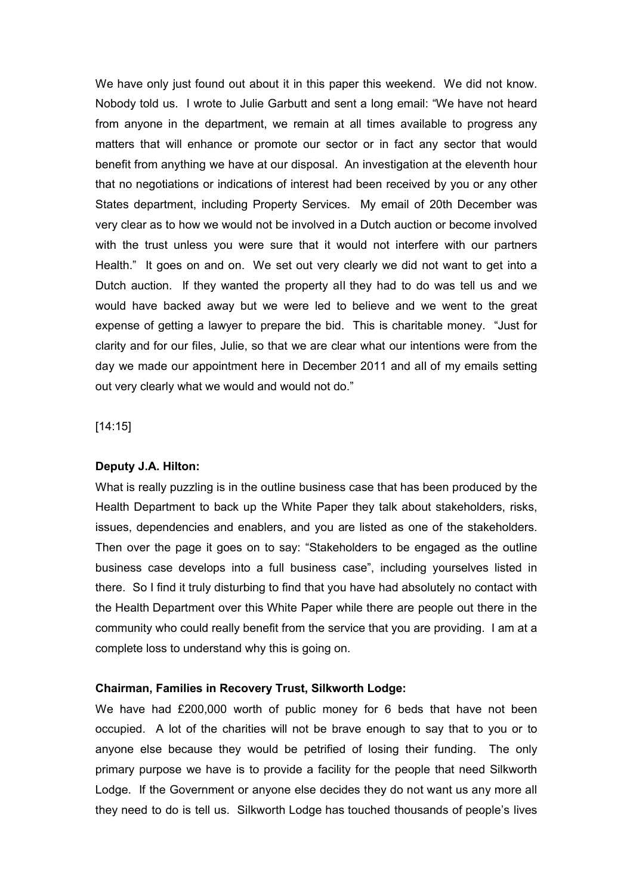We have only just found out about it in this paper this weekend. We did not know. Nobody told us. I wrote to Julie Garbutt and sent a long email: "We have not heard from anyone in the department, we remain at all times available to progress any matters that will enhance or promote our sector or in fact any sector that would benefit from anything we have at our disposal. An investigation at the eleventh hour that no negotiations or indications of interest had been received by you or any other States department, including Property Services. My email of 20th December was very clear as to how we would not be involved in a Dutch auction or become involved with the trust unless you were sure that it would not interfere with our partners Health." It goes on and on. We set out very clearly we did not want to get into a Dutch auction. If they wanted the property all they had to do was tell us and we would have backed away but we were led to believe and we went to the great expense of getting a lawyer to prepare the bid. This is charitable money. "Just for clarity and for our files, Julie, so that we are clear what our intentions were from the day we made our appointment here in December 2011 and all of my emails setting out very clearly what we would and would not do."

[14:15]

#### **Deputy J.A. Hilton:**

What is really puzzling is in the outline business case that has been produced by the Health Department to back up the White Paper they talk about stakeholders, risks, issues, dependencies and enablers, and you are listed as one of the stakeholders. Then over the page it goes on to say: "Stakeholders to be engaged as the outline business case develops into a full business case", including yourselves listed in there. So I find it truly disturbing to find that you have had absolutely no contact with the Health Department over this White Paper while there are people out there in the community who could really benefit from the service that you are providing. I am at a complete loss to understand why this is going on.

#### **Chairman, Families in Recovery Trust, Silkworth Lodge:**

We have had £200,000 worth of public money for 6 beds that have not been occupied. A lot of the charities will not be brave enough to say that to you or to anyone else because they would be petrified of losing their funding. The only primary purpose we have is to provide a facility for the people that need Silkworth Lodge. If the Government or anyone else decides they do not want us any more all they need to do is tell us. Silkworth Lodge has touched thousands of people's lives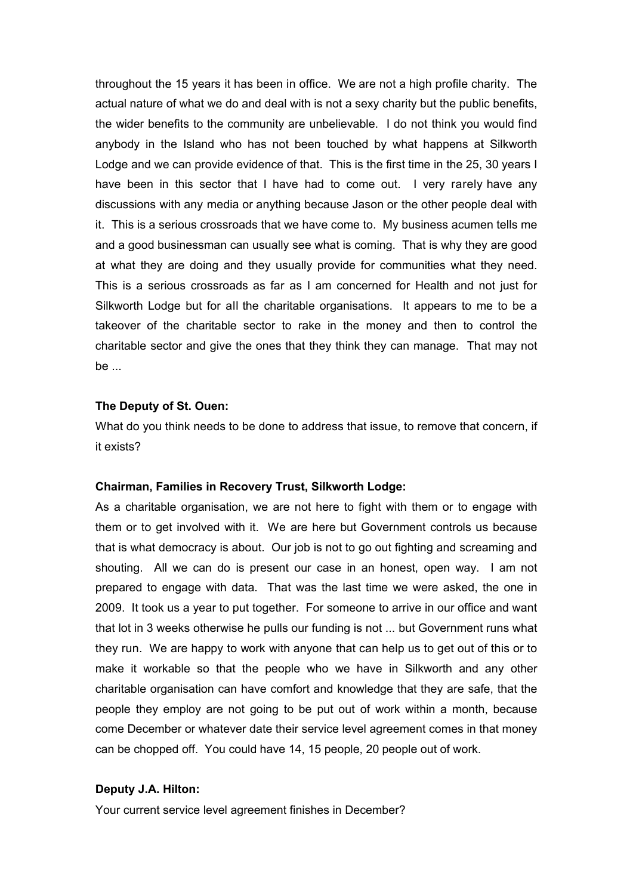throughout the 15 years it has been in office. We are not a high profile charity. The actual nature of what we do and deal with is not a sexy charity but the public benefits, the wider benefits to the community are unbelievable. I do not think you would find anybody in the Island who has not been touched by what happens at Silkworth Lodge and we can provide evidence of that. This is the first time in the 25, 30 years I have been in this sector that I have had to come out. I very rarely have any discussions with any media or anything because Jason or the other people deal with it. This is a serious crossroads that we have come to. My business acumen tells me and a good businessman can usually see what is coming. That is why they are good at what they are doing and they usually provide for communities what they need. This is a serious crossroads as far as I am concerned for Health and not just for Silkworth Lodge but for all the charitable organisations. It appears to me to be a takeover of the charitable sector to rake in the money and then to control the charitable sector and give the ones that they think they can manage. That may not be ...

#### **The Deputy of St. Ouen:**

What do you think needs to be done to address that issue, to remove that concern, if it exists?

#### **Chairman, Families in Recovery Trust, Silkworth Lodge:**

As a charitable organisation, we are not here to fight with them or to engage with them or to get involved with it. We are here but Government controls us because that is what democracy is about. Our job is not to go out fighting and screaming and shouting. All we can do is present our case in an honest, open way. I am not prepared to engage with data. That was the last time we were asked, the one in 2009. It took us a year to put together. For someone to arrive in our office and want that lot in 3 weeks otherwise he pulls our funding is not ... but Government runs what they run. We are happy to work with anyone that can help us to get out of this or to make it workable so that the people who we have in Silkworth and any other charitable organisation can have comfort and knowledge that they are safe, that the people they employ are not going to be put out of work within a month, because come December or whatever date their service level agreement comes in that money can be chopped off. You could have 14, 15 people, 20 people out of work.

#### **Deputy J.A. Hilton:**

Your current service level agreement finishes in December?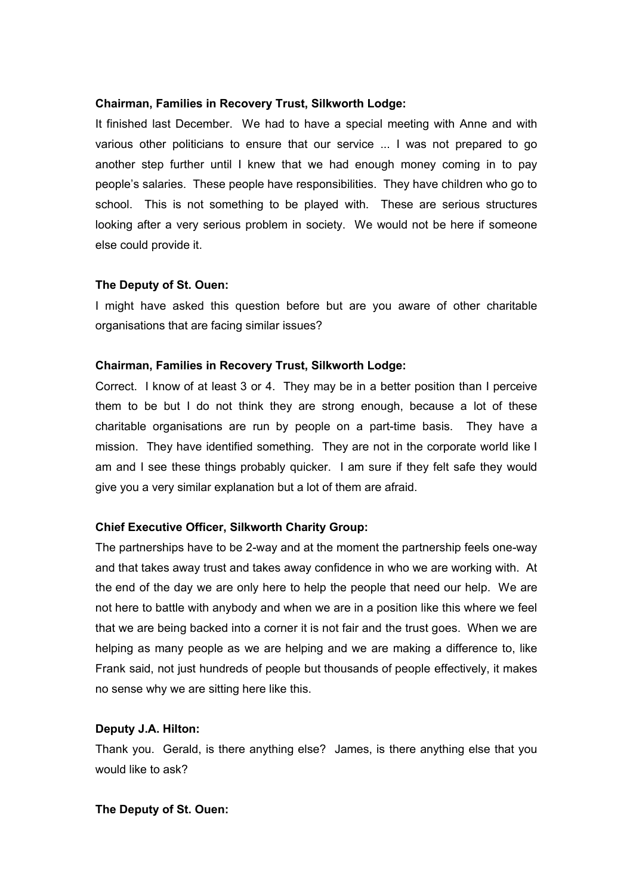It finished last December. We had to have a special meeting with Anne and with various other politicians to ensure that our service ... I was not prepared to go another step further until I knew that we had enough money coming in to pay people's salaries. These people have responsibilities. They have children who go to school. This is not something to be played with. These are serious structures looking after a very serious problem in society. We would not be here if someone else could provide it.

#### **The Deputy of St. Ouen:**

I might have asked this question before but are you aware of other charitable organisations that are facing similar issues?

#### **Chairman, Families in Recovery Trust, Silkworth Lodge:**

Correct. I know of at least 3 or 4. They may be in a better position than I perceive them to be but I do not think they are strong enough, because a lot of these charitable organisations are run by people on a part-time basis. They have a mission. They have identified something. They are not in the corporate world like I am and I see these things probably quicker. I am sure if they felt safe they would give you a very similar explanation but a lot of them are afraid.

#### **Chief Executive Officer, Silkworth Charity Group:**

The partnerships have to be 2-way and at the moment the partnership feels one-way and that takes away trust and takes away confidence in who we are working with. At the end of the day we are only here to help the people that need our help. We are not here to battle with anybody and when we are in a position like this where we feel that we are being backed into a corner it is not fair and the trust goes. When we are helping as many people as we are helping and we are making a difference to, like Frank said, not just hundreds of people but thousands of people effectively, it makes no sense why we are sitting here like this.

## **Deputy J.A. Hilton:**

Thank you. Gerald, is there anything else? James, is there anything else that you would like to ask?

#### **The Deputy of St. Ouen:**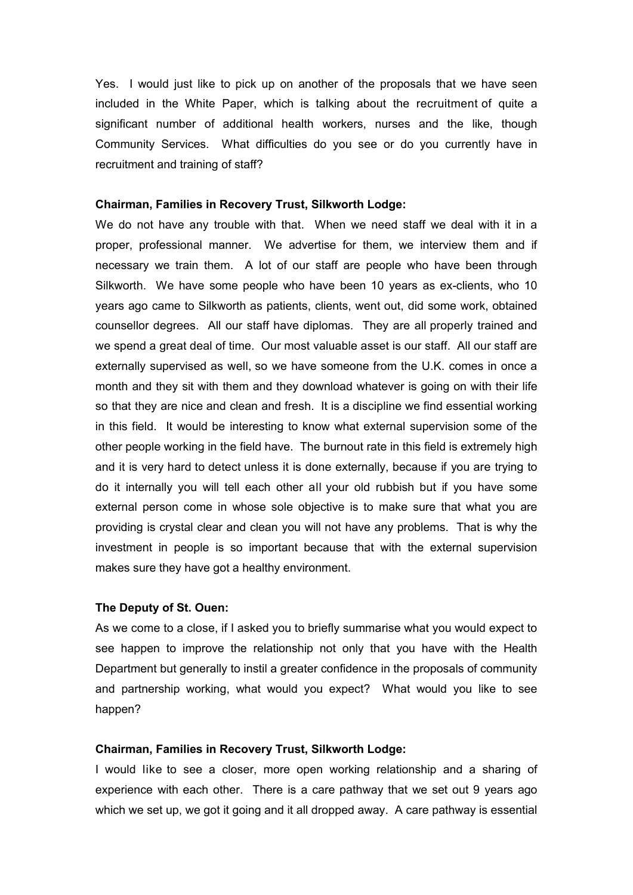Yes. I would just like to pick up on another of the proposals that we have seen included in the White Paper, which is talking about the recruitment of quite a significant number of additional health workers, nurses and the like, though Community Services. What difficulties do you see or do you currently have in recruitment and training of staff?

#### **Chairman, Families in Recovery Trust, Silkworth Lodge:**

We do not have any trouble with that. When we need staff we deal with it in a proper, professional manner. We advertise for them, we interview them and if necessary we train them. A lot of our staff are people who have been through Silkworth. We have some people who have been 10 years as ex-clients, who 10 years ago came to Silkworth as patients, clients, went out, did some work, obtained counsellor degrees. All our staff have diplomas. They are all properly trained and we spend a great deal of time. Our most valuable asset is our staff. All our staff are externally supervised as well, so we have someone from the U.K. comes in once a month and they sit with them and they download whatever is going on with their life so that they are nice and clean and fresh. It is a discipline we find essential working in this field. It would be interesting to know what external supervision some of the other people working in the field have. The burnout rate in this field is extremely high and it is very hard to detect unless it is done externally, because if you are trying to do it internally you will tell each other all your old rubbish but if you have some external person come in whose sole objective is to make sure that what you are providing is crystal clear and clean you will not have any problems. That is why the investment in people is so important because that with the external supervision makes sure they have got a healthy environment.

#### **The Deputy of St. Ouen:**

As we come to a close, if I asked you to briefly summarise what you would expect to see happen to improve the relationship not only that you have with the Health Department but generally to instil a greater confidence in the proposals of community and partnership working, what would you expect? What would you like to see happen?

#### **Chairman, Families in Recovery Trust, Silkworth Lodge:**

I would like to see a closer, more open working relationship and a sharing of experience with each other. There is a care pathway that we set out 9 years ago which we set up, we got it going and it all dropped away. A care pathway is essential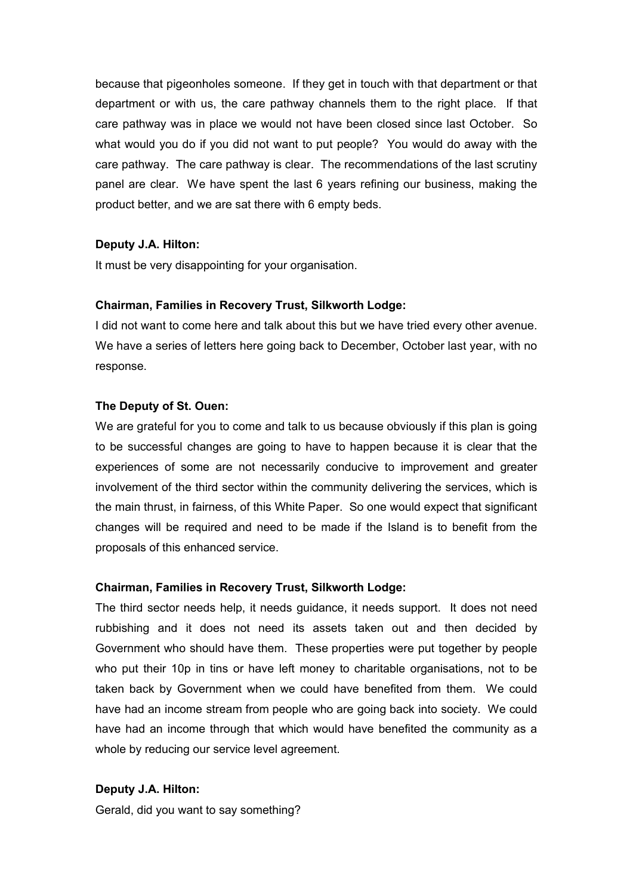because that pigeonholes someone. If they get in touch with that department or that department or with us, the care pathway channels them to the right place. If that care pathway was in place we would not have been closed since last October. So what would you do if you did not want to put people? You would do away with the care pathway. The care pathway is clear. The recommendations of the last scrutiny panel are clear. We have spent the last 6 years refining our business, making the product better, and we are sat there with 6 empty beds.

## **Deputy J.A. Hilton:**

It must be very disappointing for your organisation.

## **Chairman, Families in Recovery Trust, Silkworth Lodge:**

I did not want to come here and talk about this but we have tried every other avenue. We have a series of letters here going back to December, October last year, with no response.

## **The Deputy of St. Ouen:**

We are grateful for you to come and talk to us because obviously if this plan is going to be successful changes are going to have to happen because it is clear that the experiences of some are not necessarily conducive to improvement and greater involvement of the third sector within the community delivering the services, which is the main thrust, in fairness, of this White Paper. So one would expect that significant changes will be required and need to be made if the Island is to benefit from the proposals of this enhanced service.

#### **Chairman, Families in Recovery Trust, Silkworth Lodge:**

The third sector needs help, it needs guidance, it needs support. It does not need rubbishing and it does not need its assets taken out and then decided by Government who should have them. These properties were put together by people who put their 10p in tins or have left money to charitable organisations, not to be taken back by Government when we could have benefited from them. We could have had an income stream from people who are going back into society. We could have had an income through that which would have benefited the community as a whole by reducing our service level agreement.

#### **Deputy J.A. Hilton:**

Gerald, did you want to say something?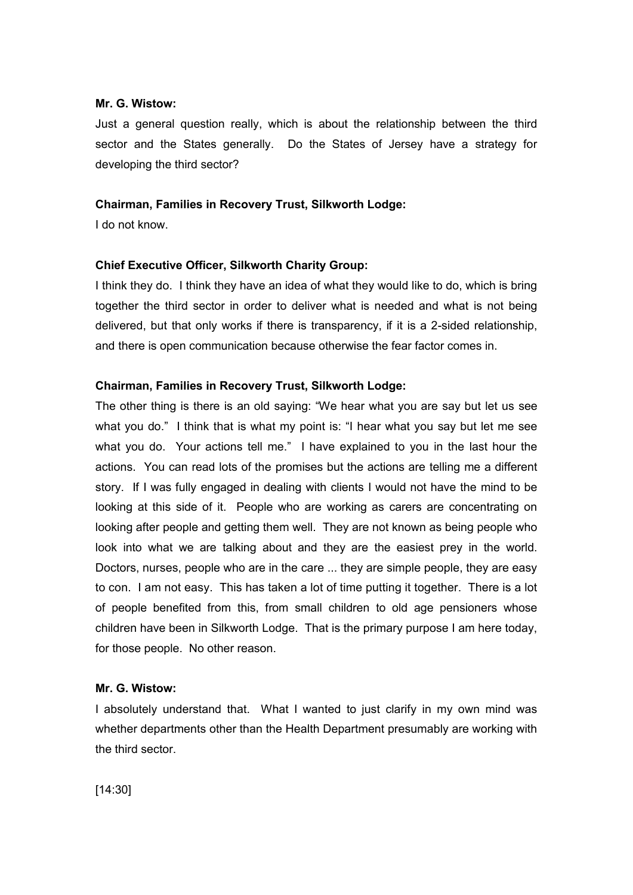#### **Mr. G. Wistow:**

Just a general question really, which is about the relationship between the third sector and the States generally. Do the States of Jersey have a strategy for developing the third sector?

#### **Chairman, Families in Recovery Trust, Silkworth Lodge:**

I do not know.

## **Chief Executive Officer, Silkworth Charity Group:**

I think they do. I think they have an idea of what they would like to do, which is bring together the third sector in order to deliver what is needed and what is not being delivered, but that only works if there is transparency, if it is a 2-sided relationship, and there is open communication because otherwise the fear factor comes in.

## **Chairman, Families in Recovery Trust, Silkworth Lodge:**

The other thing is there is an old saying: "We hear what you are say but let us see what you do." I think that is what my point is: "I hear what you say but let me see what you do. Your actions tell me." I have explained to you in the last hour the actions. You can read lots of the promises but the actions are telling me a different story. If I was fully engaged in dealing with clients I would not have the mind to be looking at this side of it. People who are working as carers are concentrating on looking after people and getting them well. They are not known as being people who look into what we are talking about and they are the easiest prey in the world. Doctors, nurses, people who are in the care ... they are simple people, they are easy to con. I am not easy. This has taken a lot of time putting it together. There is a lot of people benefited from this, from small children to old age pensioners whose children have been in Silkworth Lodge. That is the primary purpose I am here today, for those people. No other reason.

#### **Mr. G. Wistow:**

I absolutely understand that. What I wanted to just clarify in my own mind was whether departments other than the Health Department presumably are working with the third sector.

[14:30]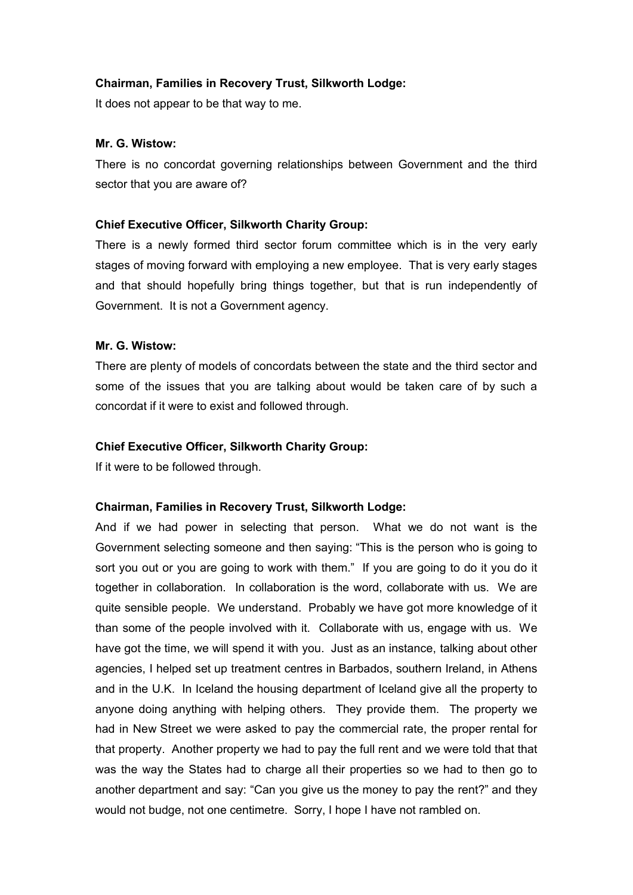It does not appear to be that way to me.

# **Mr. G. Wistow:**

There is no concordat governing relationships between Government and the third sector that you are aware of?

## **Chief Executive Officer, Silkworth Charity Group:**

There is a newly formed third sector forum committee which is in the very early stages of moving forward with employing a new employee. That is very early stages and that should hopefully bring things together, but that is run independently of Government. It is not a Government agency.

# **Mr. G. Wistow:**

There are plenty of models of concordats between the state and the third sector and some of the issues that you are talking about would be taken care of by such a concordat if it were to exist and followed through.

#### **Chief Executive Officer, Silkworth Charity Group:**

If it were to be followed through.

# **Chairman, Families in Recovery Trust, Silkworth Lodge:**

And if we had power in selecting that person. What we do not want is the Government selecting someone and then saying: "This is the person who is going to sort you out or you are going to work with them." If you are going to do it you do it together in collaboration. In collaboration is the word, collaborate with us. We are quite sensible people. We understand. Probably we have got more knowledge of it than some of the people involved with it. Collaborate with us, engage with us. We have got the time, we will spend it with you. Just as an instance, talking about other agencies, I helped set up treatment centres in Barbados, southern Ireland, in Athens and in the U.K. In Iceland the housing department of Iceland give all the property to anyone doing anything with helping others. They provide them. The property we had in New Street we were asked to pay the commercial rate, the proper rental for that property. Another property we had to pay the full rent and we were told that that was the way the States had to charge all their properties so we had to then go to another department and say: "Can you give us the money to pay the rent?" and they would not budge, not one centimetre. Sorry, I hope I have not rambled on.